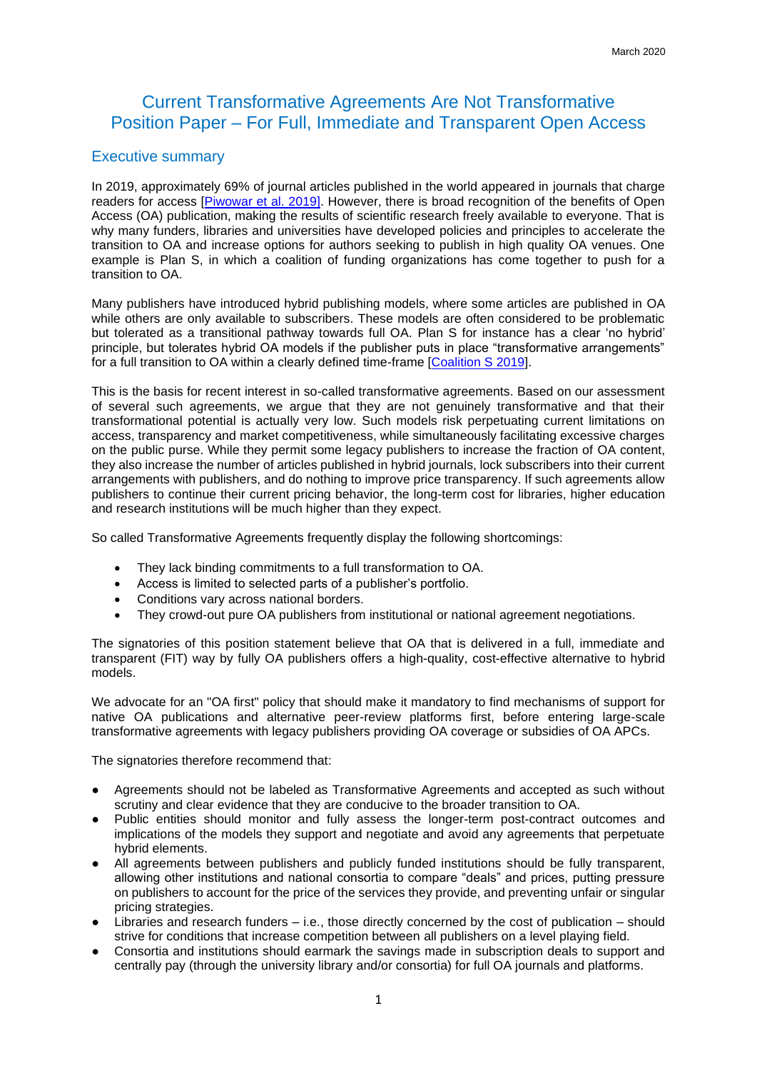# Current Transformative Agreements Are Not Transformative Position Paper – For Full, Immediate and Transparent Open Access

### Executive summary

In 2019, approximately 69% of journal articles published in the world appeared in journals that charge readers for access [\[Piwowar et al. 2019\]](https://www.biorxiv.org/content/10.1101/795310v1.article-info). However, there is broad recognition of the benefits of Open Access (OA) publication, making the results of scientific research freely available to everyone. That is why many funders, libraries and universities have developed policies and principles to accelerate the transition to OA and increase options for authors seeking to publish in high quality OA venues. One example is Plan S, in which a coalition of funding organizations has come together to push for a transition to OA.

Many publishers have introduced hybrid publishing models, where some articles are published in OA while others are only available to subscribers. These models are often considered to be problematic but tolerated as a transitional pathway towards full OA. Plan S for instance has a clear 'no hybrid' principle, but tolerates hybrid OA models if the publisher puts in place "transformative arrangements" for a full transition to OA within a clearly defined time-frame [\[Coalition S 2019\]](https://www.coalition-s.org/principles-and-implementation/).

This is the basis for recent interest in so-called transformative agreements. Based on our assessment of several such agreements, we argue that they are not genuinely transformative and that their transformational potential is actually very low. Such models risk perpetuating current limitations on access, transparency and market competitiveness, while simultaneously facilitating excessive charges on the public purse. While they permit some legacy publishers to increase the fraction of OA content, they also increase the number of articles published in hybrid journals, lock subscribers into their current arrangements with publishers, and do nothing to improve price transparency. If such agreements allow publishers to continue their current pricing behavior, the long-term cost for libraries, higher education and research institutions will be much higher than they expect.

So called Transformative Agreements frequently display the following shortcomings:

- They lack binding commitments to a full transformation to OA.
- Access is limited to selected parts of a publisher's portfolio.
- Conditions vary across national borders.
- They crowd-out pure OA publishers from institutional or national agreement negotiations.

The signatories of this position statement believe that OA that is delivered in a full, immediate and transparent (FIT) way by fully OA publishers offers a high-quality, cost-effective alternative to hybrid models.

We advocate for an "OA first" policy that should make it mandatory to find mechanisms of support for native OA publications and alternative peer-review platforms first, before entering large-scale transformative agreements with legacy publishers providing OA coverage or subsidies of OA APCs.

The signatories therefore recommend that:

- Agreements should not be labeled as Transformative Agreements and accepted as such without scrutiny and clear evidence that they are conducive to the broader transition to OA.
- Public entities should monitor and fully assess the longer-term post-contract outcomes and implications of the models they support and negotiate and avoid any agreements that perpetuate hybrid elements.
- All agreements between publishers and publicly funded institutions should be fully transparent, allowing other institutions and national consortia to compare "deals" and prices, putting pressure on publishers to account for the price of the services they provide, and preventing unfair or singular pricing strategies.
- Libraries and research funders  $-$  i.e., those directly concerned by the cost of publication  $-$  should strive for conditions that increase competition between all publishers on a level playing field.
- Consortia and institutions should earmark the savings made in subscription deals to support and centrally pay (through the university library and/or consortia) for full OA journals and platforms.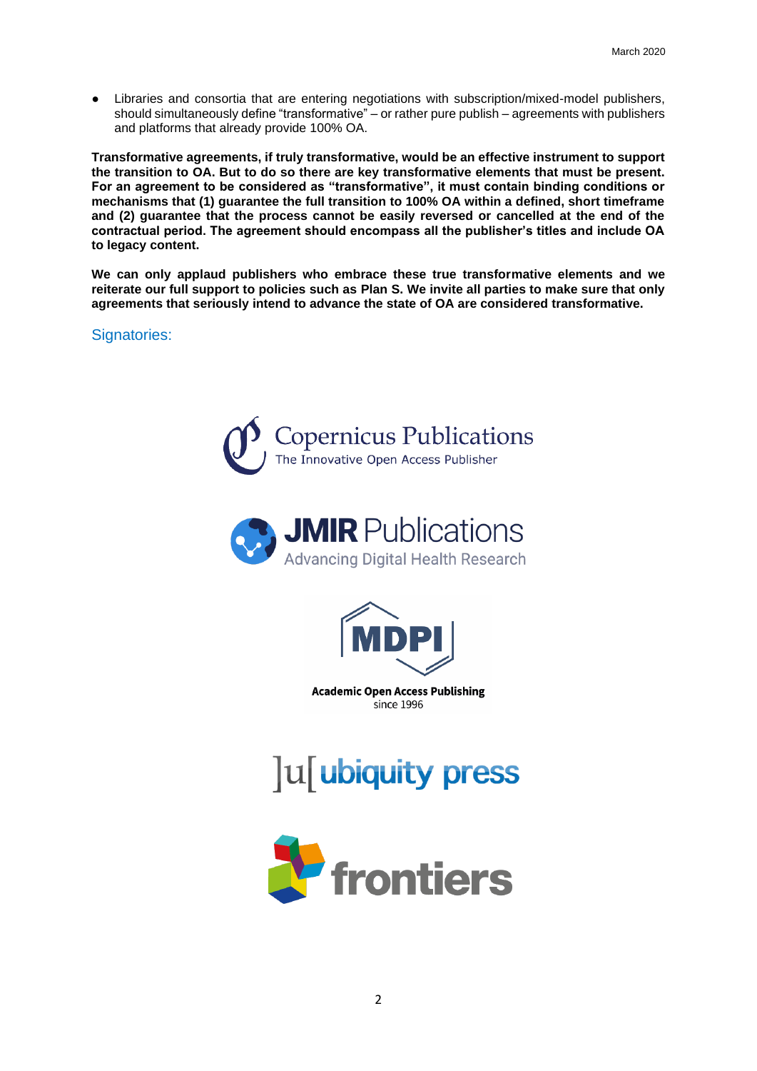● Libraries and consortia that are entering negotiations with subscription/mixed-model publishers, should simultaneously define "transformative" – or rather pure publish – agreements with publishers and platforms that already provide 100% OA.

**Transformative agreements, if truly transformative, would be an effective instrument to support the transition to OA. But to do so there are key transformative elements that must be present. For an agreement to be considered as "transformative", it must contain binding conditions or mechanisms that (1) guarantee the full transition to 100% OA within a defined, short timeframe and (2) guarantee that the process cannot be easily reversed or cancelled at the end of the contractual period. The agreement should encompass all the publisher's titles and include OA to legacy content.**

**We can only applaud publishers who embrace these true transformative elements and we reiterate our full support to policies such as Plan S. We invite all parties to make sure that only agreements that seriously intend to advance the state of OA are considered transformative.**

Signatories:







**Academic Open Access Publishing** since 1996



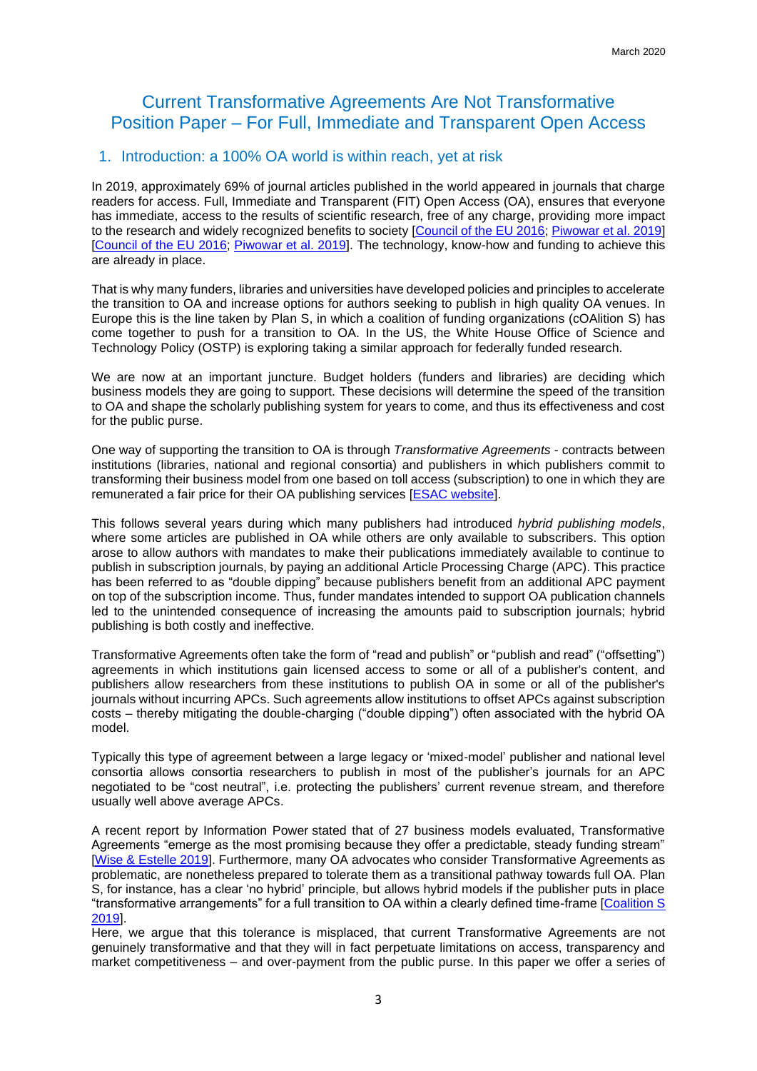# Current Transformative Agreements Are Not Transformative Position Paper – For Full, Immediate and Transparent Open Access

### 1. Introduction: a 100% OA world is within reach, yet at risk

In 2019, approximately 69% of journal articles published in the world appeared in journals that charge readers for access. Full, Immediate and Transparent (FIT) Open Access (OA), ensures that everyone has immediate, access to the results of scientific research, free of any charge, providing more impact to the research and widely recognized benefits to society [\[Council of the EU 2016;](http://data.consilium.europa.eu/doc/document/ST-9526-2016-INIT/en/pdf) [Piwowar et al. 2019\]](https://www.biorxiv.org/content/10.1101/795310v1.article-info) [\[Council of the EU 2016;](http://data.consilium.europa.eu/doc/document/ST-9526-2016-INIT/en/pdf) [Piwowar et al. 2019\]](https://www.biorxiv.org/content/10.1101/795310v1.article-info). The technology, know-how and funding to achieve this are already in place.

That is why many funders, libraries and universities have developed policies and principles to accelerate the transition to OA and increase options for authors seeking to publish in high quality OA venues. In Europe this is the line taken by Plan S, in which a coalition of funding organizations (cOAlition S) has come together to push for a transition to OA. In the US, the White House Office of Science and Technology Policy (OSTP) is exploring taking a similar approach for federally funded research.

We are now at an important juncture. Budget holders (funders and libraries) are deciding which business models they are going to support. These decisions will determine the speed of the transition to OA and shape the scholarly publishing system for years to come, and thus its effectiveness and cost for the public purse.

One way of supporting the transition to OA is through *Transformative Agreements* - contracts between institutions (libraries, national and regional consortia) and publishers in which publishers commit to transforming their business model from one based on toll access (subscription) to one in which they are remunerated a fair price for their OA publishing services [\[ESAC website\]](https://esac-initiative.org/about/transformative-agreements/).

This follows several years during which many publishers had introduced *hybrid publishing models*, where some articles are published in OA while others are only available to subscribers. This option arose to allow authors with mandates to make their publications immediately available to continue to publish in subscription journals, by paying an additional Article Processing Charge (APC). This practice has been referred to as "double dipping" because publishers benefit from an additional APC payment on top of the subscription income. Thus, funder mandates intended to support OA publication channels led to the unintended consequence of increasing the amounts paid to subscription journals; hybrid publishing is both costly and ineffective.

Transformative Agreements often take the form of "read and publish" or "publish and read" ("offsetting") agreements in which institutions gain licensed access to some or all of a publisher's content, and publishers allow researchers from these institutions to publish OA in some or all of the publisher's journals without incurring APCs. Such agreements allow institutions to offset APCs against subscription costs – thereby mitigating the double-charging ("double dipping") often associated with the hybrid OA model.

Typically this type of agreement between a large legacy or 'mixed-model' publisher and national level consortia allows consortia researchers to publish in most of the publisher's journals for an APC negotiated to be "cost neutral", i.e. protecting the publishers' current revenue stream, and therefore usually well above average APCs.

A recent report by Information Power stated that of 27 business models evaluated, Transformative Agreements "emerge as the most promising because they offer a predictable, steady funding stream" [\[Wise & Estelle 2019\]](https://wellcome.figshare.com/articles/Society_Publishers_Accelerating_Open_Access_and_Plan_S_-_Final_Project_Report/9805007). Furthermore, many OA advocates who consider Transformative Agreements as problematic, are nonetheless prepared to tolerate them as a transitional pathway towards full OA. Plan S, for instance, has a clear 'no hybrid' principle, but allows hybrid models if the publisher puts in place "transformative arrangements" for a full transition to OA within a clearly defined time-frame [\[Coalition S](https://www.coalition-s.org/principles-and-implementation/)  [2019\]](https://www.coalition-s.org/principles-and-implementation/).

Here, we argue that this tolerance is misplaced, that current Transformative Agreements are not genuinely transformative and that they will in fact perpetuate limitations on access, transparency and market competitiveness – and over-payment from the public purse. In this paper we offer a series of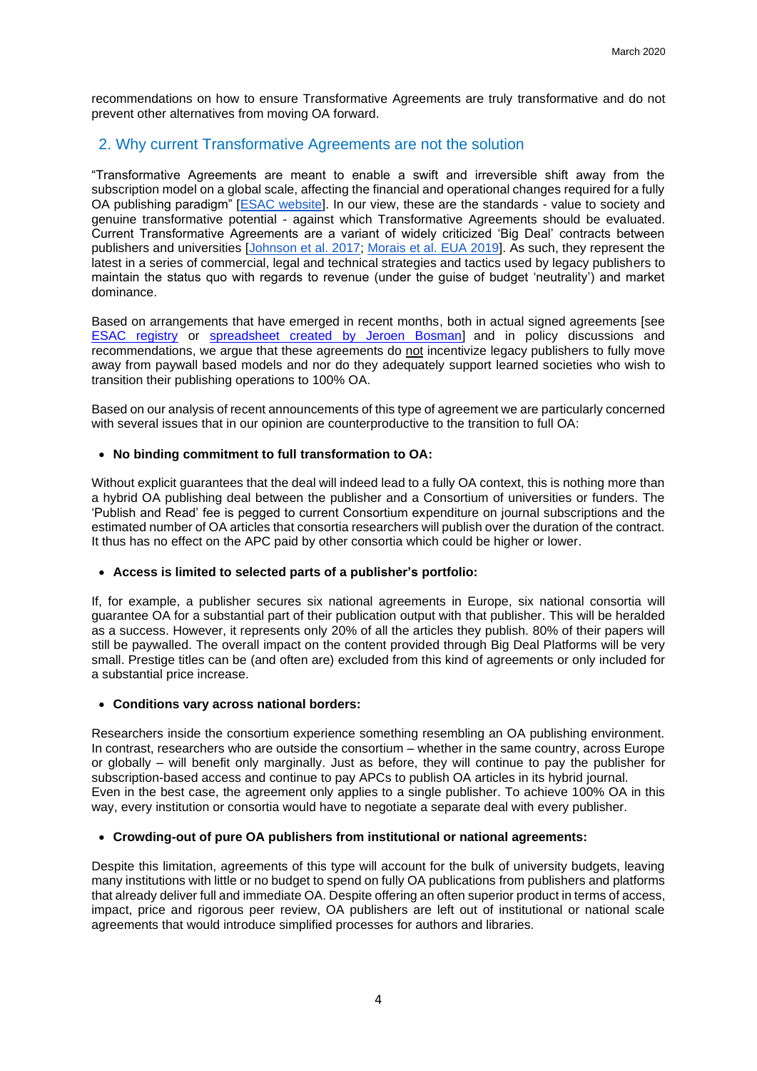recommendations on how to ensure Transformative Agreements are truly transformative and do not prevent other alternatives from moving OA forward.

## 2. Why current Transformative Agreements are not the solution

"Transformative Agreements are meant to enable a swift and irreversible shift away from the subscription model on a global scale, affecting the financial and operational changes required for a fully OA publishing paradigm" [\[ESAC website\]](https://esac-initiative.org/about/transformative-agreements/). In our view, these are the standards - value to society and genuine transformative potential - against which Transformative Agreements should be evaluated. Current Transformative Agreements are a variant of widely criticized 'Big Deal' contracts between publishers and universities [\[Johnson et al. 2017;](https://libereurope.eu/wp-content/uploads/2017/03/OA-market-report-28Final-13-March-201729-1.pdf) [Morais et al. EUA 2019\]](https://eua.eu/downloads/publications/2019%20big%20deals%20report%20v2.pdf). As such, they represent the latest in a series of commercial, legal and technical strategies and tactics used by legacy publishers to maintain the status quo with regards to revenue (under the guise of budget 'neutrality') and market dominance.

Based on arrangements that have emerged in recent months, both in actual signed agreements [see [ESAC registry](https://esac-initiative.org/about/transformative-agreements/agreement-registry/%20.) or [spreadsheet created by Jeroen Bosman\]](https://tinyurl.com/OAagreements) and in policy discussions and recommendations, we argue that these agreements do not incentivize legacy publishers to fully move away from paywall based models and nor do they adequately support learned societies who wish to transition their publishing operations to 100% OA.

Based on our analysis of recent announcements of this type of agreement we are particularly concerned with several issues that in our opinion are counterproductive to the transition to full OA:

### • **No binding commitment to full transformation to OA:**

Without explicit guarantees that the deal will indeed lead to a fully OA context, this is nothing more than a hybrid OA publishing deal between the publisher and a Consortium of universities or funders. The 'Publish and Read' fee is pegged to current Consortium expenditure on journal subscriptions and the estimated number of OA articles that consortia researchers will publish over the duration of the contract. It thus has no effect on the APC paid by other consortia which could be higher or lower.

#### • **Access is limited to selected parts of a publisher's portfolio:**

If, for example, a publisher secures six national agreements in Europe, six national consortia will guarantee OA for a substantial part of their publication output with that publisher. This will be heralded as a success. However, it represents only 20% of all the articles they publish. 80% of their papers will still be paywalled. The overall impact on the content provided through Big Deal Platforms will be very small. Prestige titles can be (and often are) excluded from this kind of agreements or only included for a substantial price increase.

#### • **Conditions vary across national borders:**

Researchers inside the consortium experience something resembling an OA publishing environment. In contrast, researchers who are outside the consortium – whether in the same country, across Europe or globally – will benefit only marginally. Just as before, they will continue to pay the publisher for subscription-based access and continue to pay APCs to publish OA articles in its hybrid journal. Even in the best case, the agreement only applies to a single publisher. To achieve 100% OA in this way, every institution or consortia would have to negotiate a separate deal with every publisher.

#### • **Crowding-out of pure OA publishers from institutional or national agreements:**

Despite this limitation, agreements of this type will account for the bulk of university budgets, leaving many institutions with little or no budget to spend on fully OA publications from publishers and platforms that already deliver full and immediate OA. Despite offering an often superior product in terms of access, impact, price and rigorous peer review, OA publishers are left out of institutional or national scale agreements that would introduce simplified processes for authors and libraries.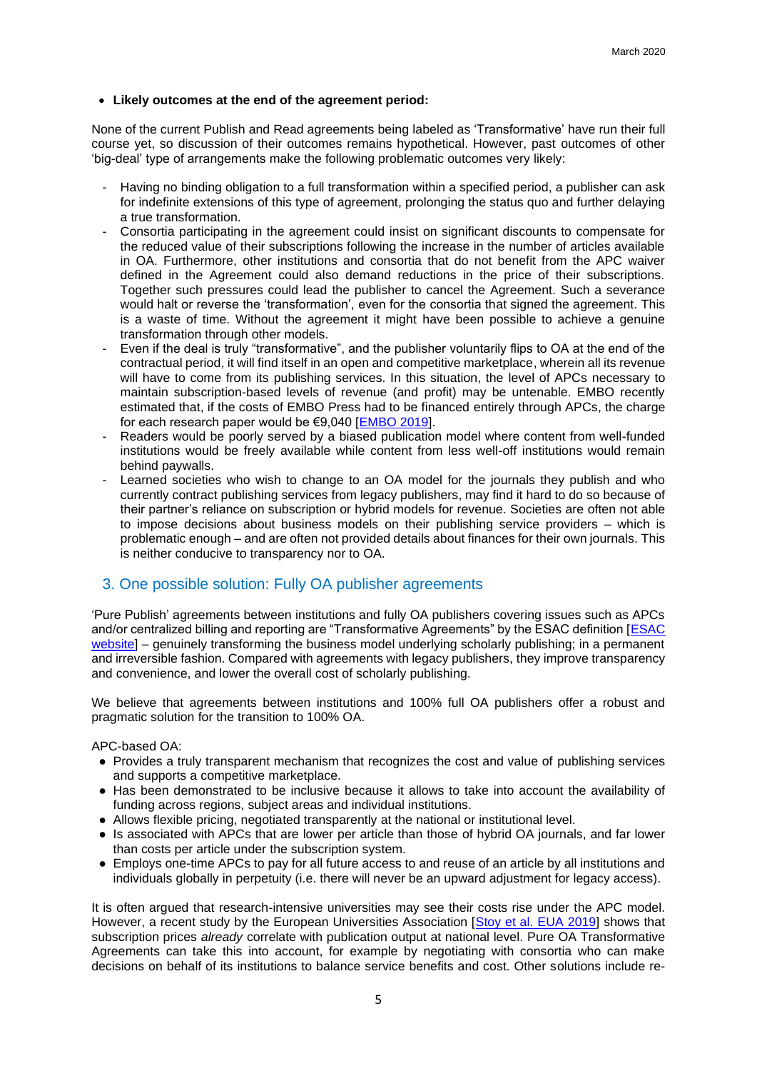### • **Likely outcomes at the end of the agreement period:**

None of the current Publish and Read agreements being labeled as 'Transformative' have run their full course yet, so discussion of their outcomes remains hypothetical. However, past outcomes of other 'big-deal' type of arrangements make the following problematic outcomes very likely:

- Having no binding obligation to a full transformation within a specified period, a publisher can ask for indefinite extensions of this type of agreement, prolonging the status quo and further delaying a true transformation.
- Consortia participating in the agreement could insist on significant discounts to compensate for the reduced value of their subscriptions following the increase in the number of articles available in OA. Furthermore, other institutions and consortia that do not benefit from the APC waiver defined in the Agreement could also demand reductions in the price of their subscriptions. Together such pressures could lead the publisher to cancel the Agreement. Such a severance would halt or reverse the 'transformation', even for the consortia that signed the agreement. This is a waste of time. Without the agreement it might have been possible to achieve a genuine transformation through other models.
- Even if the deal is truly "transformative", and the publisher voluntarily flips to OA at the end of the contractual period, it will find itself in an open and competitive marketplace, wherein all its revenue will have to come from its publishing services. In this situation, the level of APCs necessary to maintain subscription-based levels of revenue (and profit) may be untenable. EMBO recently estimated that, if the costs of EMBO Press had to be financed entirely through APCs, the charge for each research paper would be €9,040 [\[EMBO 2019\]](https://www.embo.org/news/articles/2019/the-publishing-costs-at-embo).
- Readers would be poorly served by a biased publication model where content from well-funded institutions would be freely available while content from less well-off institutions would remain behind paywalls.
- Learned societies who wish to change to an OA model for the journals they publish and who currently contract publishing services from legacy publishers, may find it hard to do so because of their partner's reliance on subscription or hybrid models for revenue. Societies are often not able to impose decisions about business models on their publishing service providers – which is problematic enough – and are often not provided details about finances for their own journals. This is neither conducive to transparency nor to OA.

## 3. One possible solution: Fully OA publisher agreements

'Pure Publish' agreements between institutions and fully OA publishers covering issues such as APCs and/or centralized billing and reporting are "Transformative Agreements" by the ESAC definition [\[ESAC](https://esac-initiative.org/about/transformative-agreements/)  [website\]](https://esac-initiative.org/about/transformative-agreements/) – genuinely transforming the business model underlying scholarly publishing; in a permanent and irreversible fashion. Compared with agreements with legacy publishers, they improve transparency and convenience, and lower the overall cost of scholarly publishing.

We believe that agreements between institutions and 100% full OA publishers offer a robust and pragmatic solution for the transition to 100% OA.

APC-based OA:

- Provides a truly transparent mechanism that recognizes the cost and value of publishing services and supports a competitive marketplace.
- Has been demonstrated to be inclusive because it allows to take into account the availability of funding across regions, subject areas and individual institutions.
- Allows flexible pricing, negotiated transparently at the national or institutional level.
- Is associated with APCs that are lower per article than those of hybrid OA journals, and far lower than costs per article under the subscription system.
- Employs one-time APCs to pay for all future access to and reuse of an article by all institutions and individuals globally in perpetuity (i.e. there will never be an upward adjustment for legacy access).

It is often argued that research-intensive universities may see their costs rise under the APC model. However, a recent study by the European Universities Association [\[Stoy et al. EUA 2019\]](https://eua.eu/downloads/publications/2019%20big%20deals%20report.pdf) shows that subscription prices *already* correlate with publication output at national level. Pure OA Transformative Agreements can take this into account, for example by negotiating with consortia who can make decisions on behalf of its institutions to balance service benefits and cost. Other solutions include re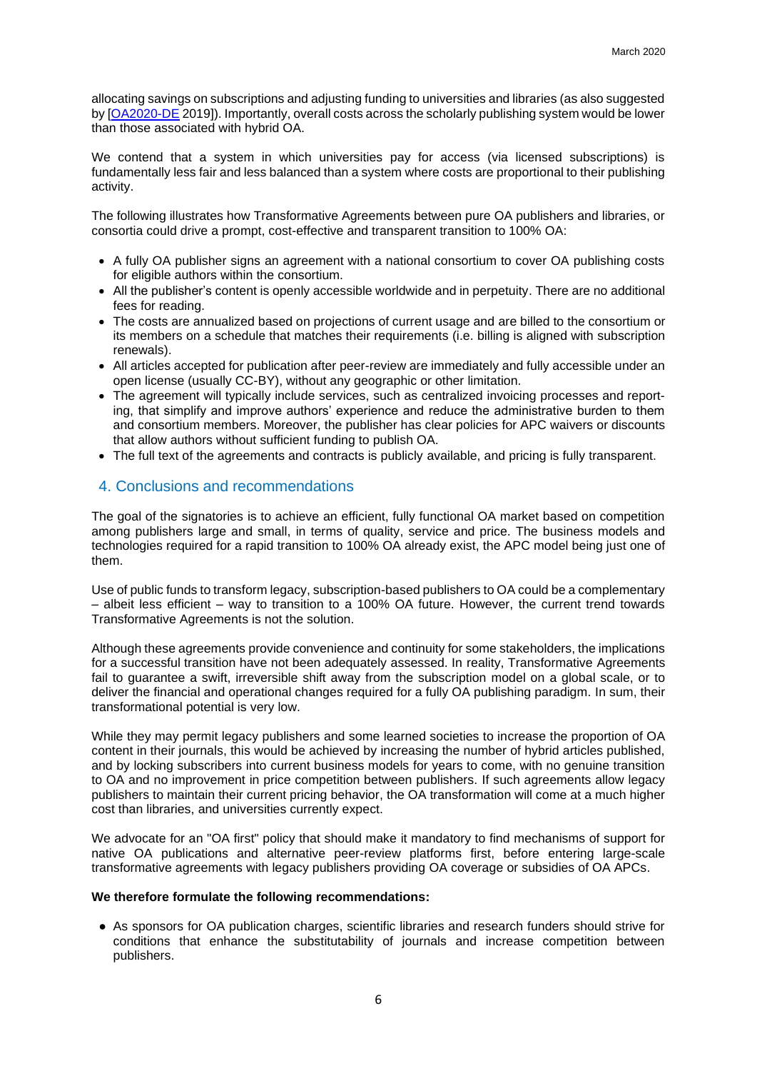allocating savings on subscriptions and adjusting funding to universities and libraries (as also suggested by [\[OA2020-DE](https://pub.uni-bielefeld.de/download/2937971/2938290/OA2020-DE%20Transformationsrechnung%20Finaler%20Bericht.pdf) 2019]). Importantly, overall costs across the scholarly publishing system would be lower than those associated with hybrid OA.

We contend that a system in which universities pay for access (via licensed subscriptions) is fundamentally less fair and less balanced than a system where costs are proportional to their publishing activity.

The following illustrates how Transformative Agreements between pure OA publishers and libraries, or consortia could drive a prompt, cost-effective and transparent transition to 100% OA:

- A fully OA publisher signs an agreement with a national consortium to cover OA publishing costs for eligible authors within the consortium.
- All the publisher's content is openly accessible worldwide and in perpetuity. There are no additional fees for reading.
- The costs are annualized based on projections of current usage and are billed to the consortium or its members on a schedule that matches their requirements (i.e. billing is aligned with subscription renewals).
- All articles accepted for publication after peer-review are immediately and fully accessible under an open license (usually CC-BY), without any geographic or other limitation.
- The agreement will typically include services, such as centralized invoicing processes and reporting, that simplify and improve authors' experience and reduce the administrative burden to them and consortium members. Moreover, the publisher has clear policies for APC waivers or discounts that allow authors without sufficient funding to publish OA.
- The full text of the agreements and contracts is publicly available, and pricing is fully transparent.

## 4. Conclusions and recommendations

The goal of the signatories is to achieve an efficient, fully functional OA market based on competition among publishers large and small, in terms of quality, service and price. The business models and technologies required for a rapid transition to 100% OA already exist, the APC model being just one of them.

Use of public funds to transform legacy, subscription-based publishers to OA could be a complementary – albeit less efficient – way to transition to a 100% OA future. However, the current trend towards Transformative Agreements is not the solution.

Although these agreements provide convenience and continuity for some stakeholders, the implications for a successful transition have not been adequately assessed. In reality, Transformative Agreements fail to guarantee a swift, irreversible shift away from the subscription model on a global scale, or to deliver the financial and operational changes required for a fully OA publishing paradigm. In sum, their transformational potential is very low.

While they may permit legacy publishers and some learned societies to increase the proportion of OA content in their journals, this would be achieved by increasing the number of hybrid articles published, and by locking subscribers into current business models for years to come, with no genuine transition to OA and no improvement in price competition between publishers. If such agreements allow legacy publishers to maintain their current pricing behavior, the OA transformation will come at a much higher cost than libraries, and universities currently expect.

We advocate for an "OA first" policy that should make it mandatory to find mechanisms of support for native OA publications and alternative peer-review platforms first, before entering large-scale transformative agreements with legacy publishers providing OA coverage or subsidies of OA APCs.

#### **We therefore formulate the following recommendations:**

● As sponsors for OA publication charges, scientific libraries and research funders should strive for conditions that enhance the substitutability of journals and increase competition between publishers.